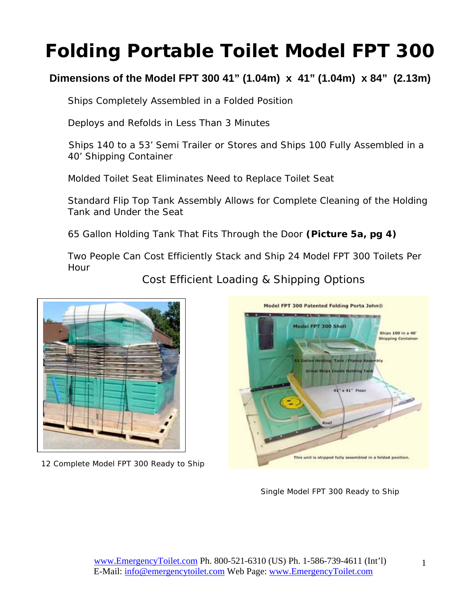# **Folding Portable Toilet Model FPT 300**

### **Dimensions of the Model FPT 300 41" (1.04m) x 41" (1.04m) x 84" (2.13m)**

Ships Completely Assembled in a Folded Position

Deploys and Refolds in Less Than 3 Minutes

Ships 140 to a 53' Semi Trailer or Stores and Ships 100 Fully Assembled in a 40' Shipping Container

Molded Toilet Seat Eliminates Need to Replace Toilet Seat

Standard Flip Top Tank Assembly Allows for Complete Cleaning of the Holding Tank and Under the Seat

65 Gallon Holding Tank That Fits Through the Door **(Picture 5a, pg 4)** 

Two People Can Cost Efficiently Stack and Ship 24 Model FPT 300 Toilets Per Hour

Cost Efficient Loading & Shipping Options



12 Complete Model FPT 300 Ready to Ship



Single Model FPT 300 Ready to Ship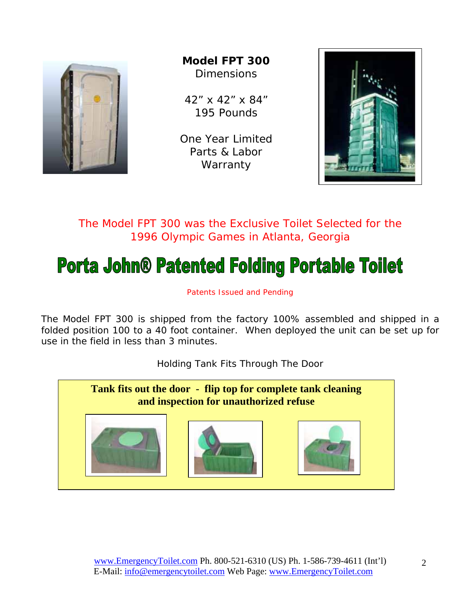

**Model FPT 300 Dimensions** 

42" x 42" x 84" 195 Pounds

One Year Limited Parts & Labor **Warranty** 



The Model FPT 300 was the Exclusive Toilet Selected for the 1996 Olympic Games in Atlanta, Georgia

# **Porta John® Patented Folding Portable Toilet**

Patents Issued and Pending

The Model FPT 300 is shipped from the factory 100% assembled and shipped in a folded position 100 to a 40 foot container. When deployed the unit can be set up for use in the field in less than 3 minutes.

Holding Tank Fits Through The Door

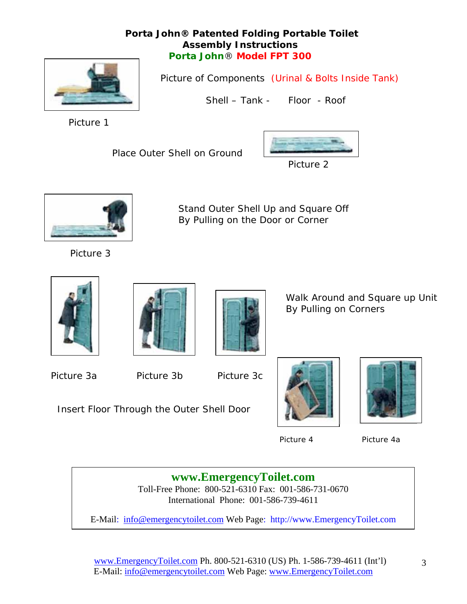#### **Porta John® Patented Folding Portable Toilet Assembly Instructions Porta John**® **Model FPT 300**



Picture of Components (Urinal & Bolts Inside Tank)

Shell – Tank - Floor - Roof

Picture 1

Place Outer Shell on Ground



Picture 2



Stand Outer Shell Up and Square Off By Pulling on the Door or Corner

Picture 3







 Walk Around and Square up Unit By Pulling on Corners

Picture 3a **Picture 3b** Picture 3c

Insert Floor Through the Outer Shell Door







Picture 4 Picture 4a

**www.EmergencyToilet.com**

Toll-Free Phone: 800-521-6310 Fax: 001-586-731-0670 International Phone: 001-586-739-4611

E-Mail: info@emergencytoilet.com Web Page: http://www.EmergencyToilet.com

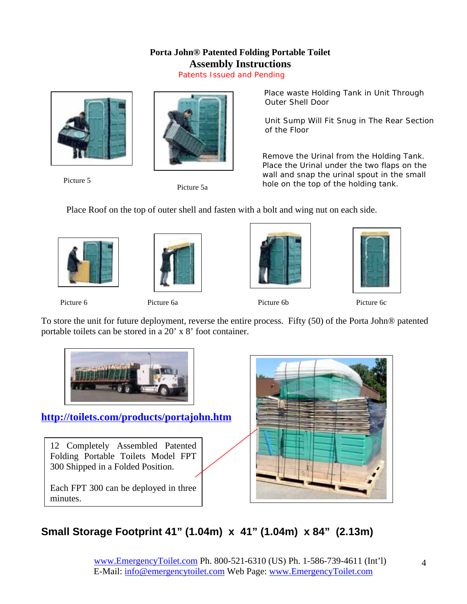### **Porta John® Patented Folding Portable Toilet Assembly Instructions**

Patents Issued and Pending





Picture 5<br>Picture 5a

 Place waste Holding Tank in Unit Through Outer Shell Door

 Unit Sump Will Fit Snug in The Rear Section of the Floor

Remove the Urinal from the Holding Tank. Place the Urinal under the two flaps on the wall and snap the urinal spout in the small hole on the top of the holding tank.

Place Roof on the top of outer shell and fasten with a bolt and wing nut on each side.









Picture 6 **Picture 6a** Picture 6a **Picture 6c** Picture 6c Picture 6c Picture 6c Picture 6c Picture 6c Picture 6c

To store the unit for future deployment, reverse the entire process. Fifty (50) of the Porta John® patented portable toilets can be stored in a 20' x 8' foot container.



**http://toilets.com/products/portajohn.htm**

12 Completely Assembled Patented Folding Portable Toilets Model FPT 300 Shipped in a Folded Position.

Each FPT 300 can be deployed in three minutes.



## **Small Storage Footprint 41" (1.04m) x 41" (1.04m) x 84" (2.13m)**

www.EmergencyToilet.com Ph. 800-521-6310 (US) Ph. 1-586-739-4611 (Int'l) E-Mail: info@emergencytoilet.com Web Page: www.EmergencyToilet.com